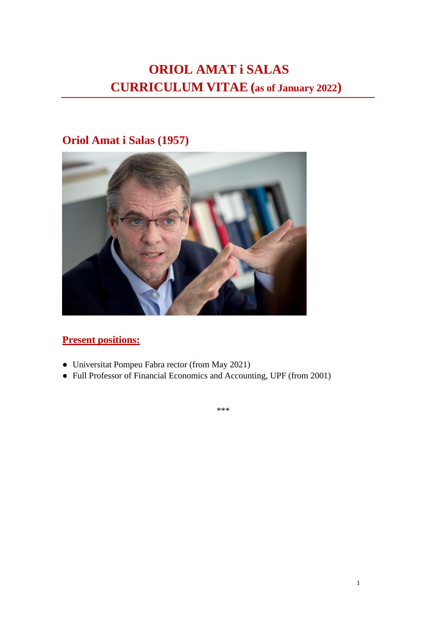# **ORIOL AMAT i SALAS CURRICULUM VITAE (as of January 2022)**

## **Oriol Amat i Salas (1957)**



## **Present positions:**

- Universitat Pompeu Fabra rector (from May 2021)
- Full Professor of Financial Economics and Accounting, UPF (from 2001)

\*\*\*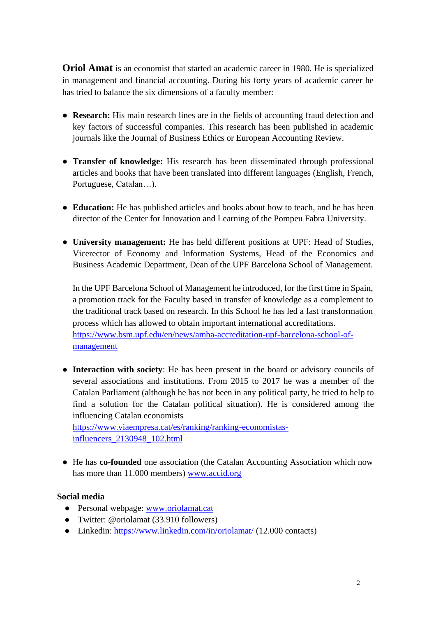**Oriol Amat** is an economist that started an academic career in 1980. He is specialized in management and financial accounting. During his forty years of academic career he has tried to balance the six dimensions of a faculty member:

- **Research:** His main research lines are in the fields of accounting fraud detection and key factors of successful companies. This research has been published in academic journals like the Journal of Business Ethics or European Accounting Review.
- **Transfer of knowledge:** His research has been disseminated through professional articles and books that have been translated into different languages (English, French, Portuguese, Catalan…).
- **Education:** He has published articles and books about how to teach, and he has been director of the Center for Innovation and Learning of the Pompeu Fabra University.
- **University management:** He has held different positions at UPF: Head of Studies, Vicerector of Economy and Information Systems, Head of the Economics and Business Academic Department, Dean of the UPF Barcelona School of Management.

In the UPF Barcelona School of Management he introduced, for the first time in Spain, a promotion track for the Faculty based in transfer of knowledge as a complement to the traditional track based on research. In this School he has led a fast transformation process which has allowed to obtain important international accreditations. [https://www.bsm.upf.edu/en/news/amba-accreditation-upf-barcelona-school-of](https://www.bsm.upf.edu/en/news/amba-accreditation-upf-barcelona-school-of-management)[management](https://www.bsm.upf.edu/en/news/amba-accreditation-upf-barcelona-school-of-management)

● **Interaction with society**: He has been present in the board or advisory councils of several associations and institutions. From 2015 to 2017 he was a member of the Catalan Parliament (although he has not been in any political party, he tried to help to find a solution for the Catalan political situation). He is considered among the influencing Catalan economists

[https://www.viaempresa.cat/es/ranking/ranking-economistas](https://www.viaempresa.cat/es/ranking/ranking-economistas-influencers_2130948_102.html)[influencers\\_2130948\\_102.html](https://www.viaempresa.cat/es/ranking/ranking-economistas-influencers_2130948_102.html)

● He has **co-founded** one association (the Catalan Accounting Association which now has more than 11.000 members) [www.accid.org](http://www.accid.org/)

#### **Social media**

- Personal webpage: [www.oriolamat.cat](http://www.oriolamat.cat/)
- Twitter: @oriolamat (33.910 followers)
- Linkedin: <https://www.linkedin.com/in/oriolamat/> (12.000 contacts)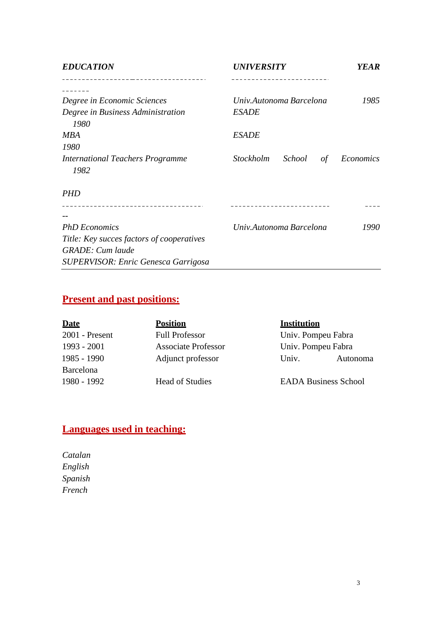| <b>EDUCATION</b>                           | <i><b>UNIVERSITY</b></i>         | <b>YEAR</b> |
|--------------------------------------------|----------------------------------|-------------|
|                                            |                                  |             |
| Degree in Economic Sciences                | Univ.Autonoma Barcelona          | 1985        |
| Degree in Business Administration<br>1980  | <b>ESADE</b>                     |             |
| <b>MBA</b>                                 | <b>ESADE</b>                     |             |
| 1980                                       |                                  |             |
| <b>International Teachers Programme</b>    | <i>Stockholm</i><br>School<br>of | Economics   |
| 1982                                       |                                  |             |
| <b>PHD</b>                                 |                                  |             |
|                                            |                                  |             |
|                                            |                                  |             |
| <b>PhD</b> Economics                       | Univ.Autonoma Barcelona          | 1990        |
| Title: Key succes factors of cooperatives  |                                  |             |
| <b>GRADE</b> : Cum laude                   |                                  |             |
| <b>SUPERVISOR: Enric Genesca Garrigosa</b> |                                  |             |

## **Present and past positions:**

| <b>Date</b>      | <b>Position</b>            | <b>Institution</b> |                             |
|------------------|----------------------------|--------------------|-----------------------------|
| $2001$ - Present | <b>Full Professor</b>      | Univ. Pompeu Fabra |                             |
| 1993 - 2001      | <b>Associate Professor</b> | Univ. Pompeu Fabra |                             |
| 1985 - 1990      | Adjunct professor          | Univ.              | Autonoma                    |
| <b>Barcelona</b> |                            |                    |                             |
| 1980 - 1992      | <b>Head of Studies</b>     |                    | <b>EADA Business School</b> |

## **Languages used in teaching:**

*Catalan English Spanish French*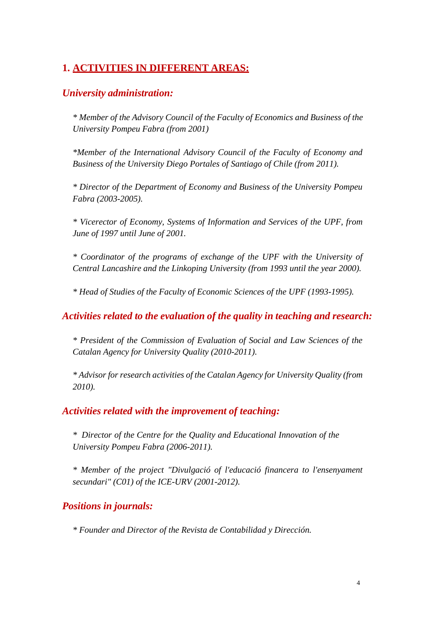## **1. ACTIVITIES IN DIFFERENT AREAS:**

### *University administration:*

*\* Member of the Advisory Council of the Faculty of Economics and Business of the University Pompeu Fabra (from 2001)*

*\*Member of the International Advisory Council of the Faculty of Economy and Business of the University Diego Portales of Santiago of Chile (from 2011).*

*\* Director of the Department of Economy and Business of the University Pompeu Fabra (2003-2005).*

*\* Vicerector of Economy, Systems of Information and Services of the UPF, from June of 1997 until June of 2001.*

*\* Coordinator of the programs of exchange of the UPF with the University of Central Lancashire and the Linkoping University (from 1993 until the year 2000).*

*\* Head of Studies of the Faculty of Economic Sciences of the UPF (1993-1995).*

*Activities related to the evaluation of the quality in teaching and research:*

*\* President of the Commission of Evaluation of Social and Law Sciences of the Catalan Agency for University Quality (2010-2011).*

*\* Advisor for research activities of the Catalan Agency for University Quality (from 2010).*

#### *Activities related with the improvement of teaching:*

*\* Director of the Centre for the Quality and Educational Innovation of the University Pompeu Fabra (2006-2011).*

*\* Member of the project "Divulgació of l'educació financera to l'ensenyament secundari" (C01) of the ICE-URV (2001-2012).*

## *Positions in journals:*

*\* Founder and Director of the Revista de Contabilidad y Dirección.*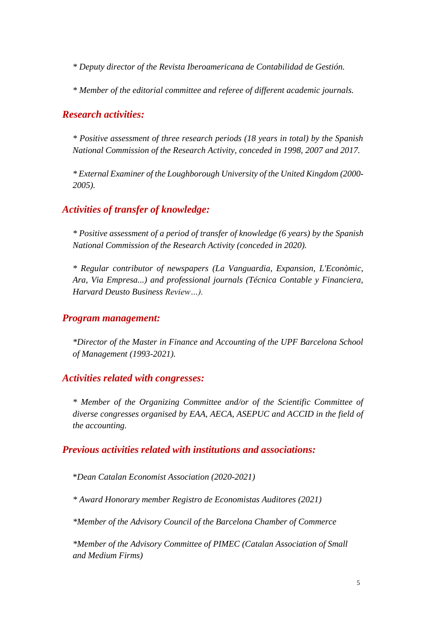*\* Deputy director of the Revista Iberoamericana de Contabilidad de Gestión.*

*\* Member of the editorial committee and referee of different academic journals.*

#### *Research activities:*

*\* Positive assessment of three research periods (18 years in total) by the Spanish National Commission of the Research Activity, conceded in 1998, 2007 and 2017.*

*\* External Examiner of the Loughborough University of the United Kingdom (2000- 2005).*

### *Activities of transfer of knowledge:*

*\* Positive assessment of a period of transfer of knowledge (6 years) by the Spanish National Commission of the Research Activity (conceded in 2020).*

*\* Regular contributor of newspapers (La Vanguardia, Expansion, L'Econòmic, Ara, Via Empresa...) and professional journals (Técnica Contable y Financiera, Harvard Deusto Business Review…).*

#### *Program management:*

*\*Director of the Master in Finance and Accounting of the UPF Barcelona School of Management (1993-2021).*

#### *Activities related with congresses:*

*\* Member of the Organizing Committee and/or of the Scientific Committee of diverse congresses organised by EAA, AECA, ASEPUC and ACCID in the field of the accounting.*

#### *Previous activities related with institutions and associations:*

\**Dean Catalan Economist Association (2020-2021)*

*\* Award Honorary member Registro de Economistas Auditores (2021)*

*\*Member of the Advisory Council of the Barcelona Chamber of Commerce*

*\*Member of the Advisory Committee of PIMEC (Catalan Association of Small and Medium Firms)*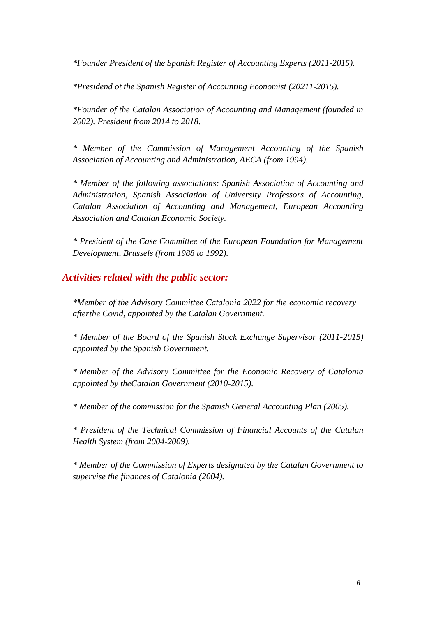*\*Founder President of the Spanish Register of Accounting Experts (2011-2015).*

*\*Presidend ot the Spanish Register of Accounting Economist (20211-2015).*

*\*Founder of the Catalan Association of Accounting and Management (founded in 2002). President from 2014 to 2018.*

*\* Member of the Commission of Management Accounting of the Spanish Association of Accounting and Administration, AECA (from 1994).*

*\* Member of the following associations: Spanish Association of Accounting and Administration, Spanish Association of University Professors of Accounting, Catalan Association of Accounting and Management, European Accounting Association and Catalan Economic Society.*

*\* President of the Case Committee of the European Foundation for Management Development, Brussels (from 1988 to 1992).*

#### *Activities related with the public sector:*

*\*Member of the Advisory Committee Catalonia 2022 for the economic recovery afterthe Covid, appointed by the Catalan Government.*

*\* Member of the Board of the Spanish Stock Exchange Supervisor (2011-2015) appointed by the Spanish Government.*

*\* Member of the Advisory Committee for the Economic Recovery of Catalonia appointed by theCatalan Government (2010-2015).*

*\* Member of the commission for the Spanish General Accounting Plan (2005).*

*\* President of the Technical Commission of Financial Accounts of the Catalan Health System (from 2004-2009).*

*\* Member of the Commission of Experts designated by the Catalan Government to supervise the finances of Catalonia (2004).*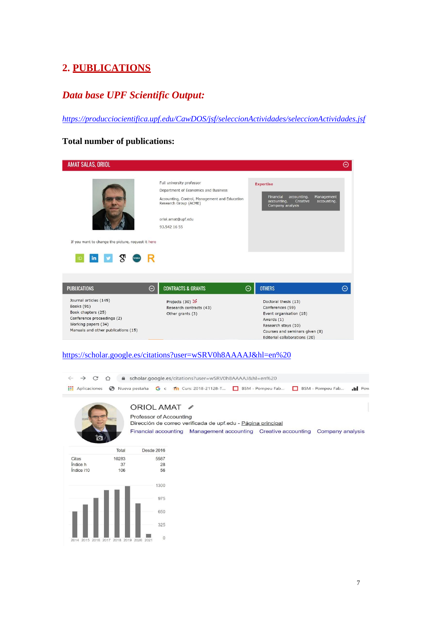## **2. PUBLICATIONS**

## *Data base UPF Scientific Output:*

*<https://producciocientifica.upf.edu/CawDOS/jsf/seleccionActividades/seleccionActividades.jsf>*

### **Total number of publications:**

| AMAT SALAS, ORIOL                                                                                                                                      |                                                                                                                                                                                   | Θ                                                                                                                                                                           |
|--------------------------------------------------------------------------------------------------------------------------------------------------------|-----------------------------------------------------------------------------------------------------------------------------------------------------------------------------------|-----------------------------------------------------------------------------------------------------------------------------------------------------------------------------|
| If you want to change the picture, request it here                                                                                                     | Full university professor<br>Department of Economics and Business<br>Accounting, Control, Management and Education<br>Research Group (ACME)<br>oriol.amat@upf.edu<br>93.542 16 55 | <b>Expertise</b><br>Financial<br>Management<br>accounting.<br>accounting.<br>Creative<br>accounting.<br>Company analysis                                                    |
| <b>PUBLICATIONS</b>                                                                                                                                    | <b>CONTRACTS &amp; GRANTS</b><br>⊝                                                                                                                                                | <b>OTHERS</b><br>⊝<br>Θ                                                                                                                                                     |
| Journal articles (145)<br>Books (91)<br>Book chapters (25)<br>Conference proceedings (2)<br>Working papers (34)<br>Manuals and other publications (15) | Projects (30) 2<br>Research contracts (43)<br>Other grants (3)                                                                                                                    | Doctoral thesis (13)<br>Conferences (59)<br>Event organisation (18)<br>Awards (1)<br>Research stays (10)<br>Courses and seminars given (8)<br>Editorial collaborations (20) |

#### <https://scholar.google.es/citations?user=wSRV0h8AAAAJ&hl=en%20>

| $\rightarrow$<br>C       | ⋒<br>⇧ | scholar.google.es/citations?user=wSRV0h8AAAAJ&hl=en%20                                                                                                                  |  |                  |   |                  |                  |
|--------------------------|--------|-------------------------------------------------------------------------------------------------------------------------------------------------------------------------|--|------------------|---|------------------|------------------|
| 雦<br>Aplicaciones        | ⊝      | Nueva pestaña G c 11 Curs: 2018-21128-T                                                                                                                                 |  | BSM - Pompeu Fab | п | BSM - Pompeu Fab | $\mathbf{d}$ Pow |
|                          |        | ORIOL AMAT<br>Professor of Accounting<br>Dirección de correo verificada de upf.edu - Página principal<br>Financial accounting Management accounting Creative accounting |  |                  |   | Company analysis |                  |
|                          | Total  | Desde 2016                                                                                                                                                              |  |                  |   |                  |                  |
| Citas                    | 10283  | 5587                                                                                                                                                                    |  |                  |   |                  |                  |
| Indice h                 | 37     | 28                                                                                                                                                                      |  |                  |   |                  |                  |
| Índice i10               | 106    | 56                                                                                                                                                                      |  |                  |   |                  |                  |
|                          |        | 1300                                                                                                                                                                    |  |                  |   |                  |                  |
|                          |        | 975                                                                                                                                                                     |  |                  |   |                  |                  |
|                          |        | 650                                                                                                                                                                     |  |                  |   |                  |                  |
|                          |        | 325                                                                                                                                                                     |  |                  |   |                  |                  |
| 2014 2015 2016 2017 2018 |        | $\mathbf 0$<br>2019<br>2020<br>2021                                                                                                                                     |  |                  |   |                  |                  |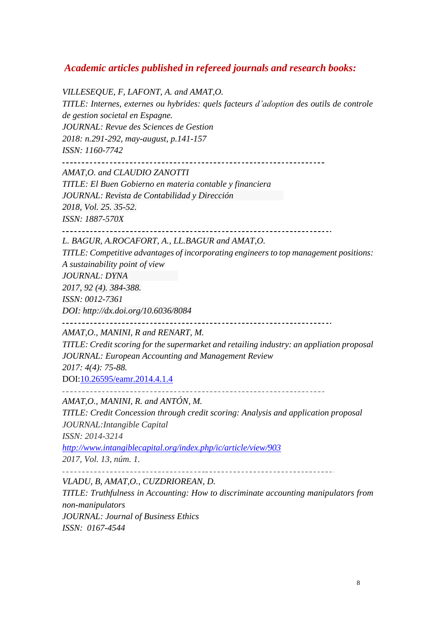## *Academic articles published in refereed journals and research books:*

*VILLESEQUE, F, LAFONT, A. and AMAT,O. TITLE: Internes, externes ou hybrides: quels facteurs d'adoption des outils de controle de gestion societal en Espagne. JOURNAL: Revue des Sciences de Gestion 2018: n.291-292, may-august, p.141-157 ISSN: 1160-7742* 

*AMAT,O. and CLAUDIO ZANOTTI*

*TITLE: El Buen Gobierno en materia contable y financiera JOURNAL: Revista de Contabilidad y Dirección 2018, Vol. 25. 35-52. ISSN: 1887-570X*

*L. BAGUR, A.ROCAFORT, A., LL.BAGUR and AMAT,O.*

*TITLE: Competitive advantages of incorporating engineers to top management positions: A sustainability point of view*

*JOURNAL: DYNA*

*2017, 92 (4). 384-388.*

*ISSN: 0012-7361*

*DOI: <http://dx.doi.org/10.6036/8084>*

\_\_\_\_\_\_\_\_\_\_\_\_\_\_\_\_\_\_\_\_\_\_\_\_\_\_\_\_\_\_\_\_\_\_ 

*AMAT,O., MANINI, R and RENART, M.*

*TITLE: Credit scoring for the supermarket and retailing industry: an appliation proposal JOURNAL: European Accounting and Management Review 2017: 4(4): 75-88.*

DOI[:10.26595/eamr.2014.4.1.4](https://doi.org/10.26595/eamr.2014.4.1.4)

*AMAT,O., MANINI, R. and ANTÓN, M.*

*TITLE: Credit Concession through credit scoring: Analysis and application proposal JOURNAL:Intangible Capital*

*ISSN: 2014-3214*

*<http://www.intangiblecapital.org/index.php/ic/article/view/903>*

*2017, Vol. 13, núm. 1.*

*VLADU, B, AMAT,O., CUZDRIOREAN, D.*

*TITLE: Truthfulness in Accounting: How to discriminate accounting manipulators from non-manipulators JOURNAL: Journal of Business Ethics ISSN: 0167-4544*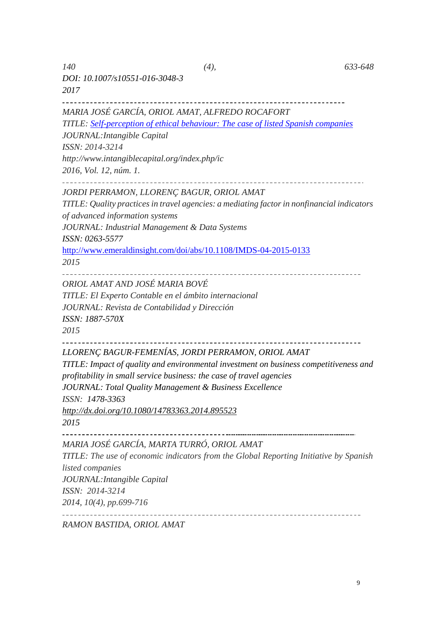*DOI: 10.1007/s10551-016-3048-3 2017*

*MARIA JOSÉ GARCÍA, ORIOL AMAT, ALFREDO ROCAFORT*

*TITLE: [Self-perception of ethical behaviour: The case of listed Spanish companies](http://www.intangiblecapital.org/index.php/ic/article/view/699) JOURNAL:Intangible Capital*

*ISSN: 2014-3214*

*<http://www.intangiblecapital.org/index.php/ic>*

*2016, Vol. 12, núm. 1.*

*JORDI PERRAMON, LLORENÇ BAGUR, ORIOL AMAT*

*TITLE: Quality practices in travel agencies: a mediating factorin nonfinancial indicators of advanced information systems*

*JOURNAL: Industrial Management & Data Systems*

*ISSN: 0263-5577*

<http://www.emeraldinsight.com/doi/abs/10.1108/IMDS-04-2015-0133>

*2015*

*ORIOL AMAT AND JOSÉ MARIA BOVÉ TITLE: El Experto Contable en el ámbito internacional JOURNAL: Revista de Contabilidad y Dirección ISSN: 1887-570X 2015*

#### *LLORENÇ BAGUR-FEMENÍAS, JORDI PERRAMON, ORIOL AMAT*

*TITLE: Impact of quality and environmental investment on business competitiveness and profitability in small service business: the case of travel agencies JOURNAL: Total Quality Management & Business Excellence*

*ISSN: 1478-3363*

*<http://dx.doi.org/10.1080/14783363.2014.895523>*

*2015*

*MARIA JOSÉ GARCÍA, MARTA TURRÓ, ORIOL AMAT*

*TITLE: The use of economic indicators from the Global Reporting Initiative by Spanish listed companies JOURNAL:Intangible Capital ISSN: 2014-3214*

*2014, 10(4), pp.699-716*

*RAMON BASTIDA, ORIOL AMAT*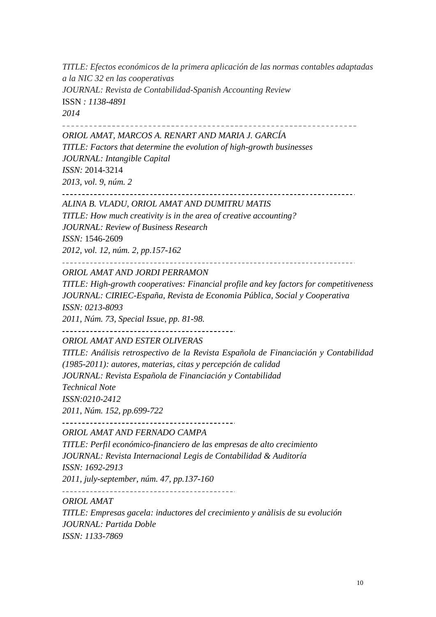*TITLE: Efectos económicos de la primera aplicación de las normas contables adaptadas a la NIC 32 en las cooperativas JOURNAL: Revista de Contabilidad-Spanish Accounting Review* ISSN *: 1138-4891 2014*

*ORIOL AMAT, MARCOS A. RENART AND MARIA J. GARCÍA TITLE: Factors that determine the evolution of high-growth businesses JOURNAL: Intangible Capital ISSN:* 2014-3214

*2013, vol. 9, núm. 2*

*ALINA B. VLADU, ORIOL AMAT AND DUMITRU MATIS*

*TITLE: How much creativity is in the area of creative accounting? JOURNAL: Review of Business Research*

*ISSN:* 1546-2609

*2012, vol. 12, núm. 2, pp.157-162*

*ORIOL AMAT AND JORDI PERRAMON*

*TITLE: High-growth cooperatives: Financial profile and key factors for competitiveness JOURNAL: CIRIEC-España, Revista de Economia Pública, Social y Cooperativa ISSN: 0213-8093*

*2011, Núm. 73, Special Issue, pp. 81-98.*

*ORIOL AMAT AND ESTER OLIVERAS*

*TITLE: Análisis retrospectivo de la Revista Española de Financiación y Contabilidad (1985-2011): autores, materias, citas y percepción de calidad JOURNAL: Revista Española de Financiación y Contabilidad Technical Note ISSN:0210-2412 2011, Núm. 152, pp.699-722*

\_\_\_\_\_\_\_\_\_\_\_\_\_\_\_\_\_\_\_\_\_\_\_\_\_\_\_\_\_\_\_\_\_\_\_\_

*ORIOL AMAT AND FERNADO CAMPA*

*TITLE: Perfil económico-financiero de las empresas de alto crecimiento JOURNAL: Revista Internacional Legis de Contabilidad & Auditoría ISSN: 1692-2913 2011, july-september, núm. 47, pp.137-160*

*ORIOL AMAT*

*TITLE: Empresas gacela: inductores del crecimiento y anàlisis de su evolución*

*JOURNAL: Partida Doble ISSN: 1133-7869*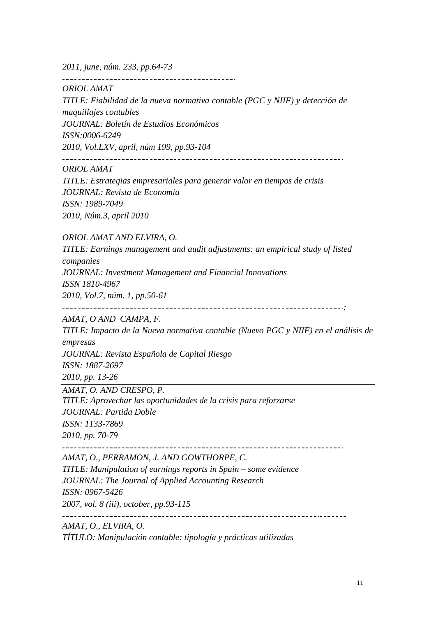*2011, june, núm. 233, pp.64-73*

*ORIOL AMAT*

*TITLE: Fiabilidad de la nueva normativa contable (PGC y NIIF) y detección de maquillajes contables*

*JOURNAL: Boletín de Estudios Económicos*

*ISSN:0006-6249*

*2010, Vol.LXV, april, núm 199, pp.93-104*

*ORIOL AMAT*

*TITLE: Estrategias empresariales para generar valor en tiempos de crisis JOURNAL: Revista de Economía*

*ISSN: 1989-7049*

*2010, Núm.3, april 2010*

*ORIOL AMAT AND ELVIRA, O.*

*TITLE: Earnings management and audit adjustments: an empirical study of listed companies JOURNAL: Investment Management and Financial Innovations*

*ISSN 1810-4967*

*2010, Vol.7, núm. 1, pp.50-61*

*:*

*AMAT, O AND CAMPA, F.*

*TITLE: Impacto de la Nueva normativa contable (Nuevo PGC y NIIF) en el análisis de empresas JOURNAL: Revista Española de Capital Riesgo ISSN: 1887-2697*

*2010, pp. 13-26*

*AMAT, O. AND CRESPO, P.*

*TITLE: Aprovechar las oportunidades de la crisis para reforzarse JOURNAL: Partida Doble ISSN: 1133-7869 2010, pp. 70-79*

*AMAT, O., PERRAMON, J. AND GOWTHORPE, C.*

*TITLE: Manipulation of earnings reports in Spain – some evidence JOURNAL: The Journal of Applied Accounting Research*

*ISSN: 0967-5426*

*2007, vol. 8 (iii), october, pp.93-115*

*AMAT, O., ELVIRA, O.*

*TÍTULO: Manipulación contable: tipología y prácticas utilizadas*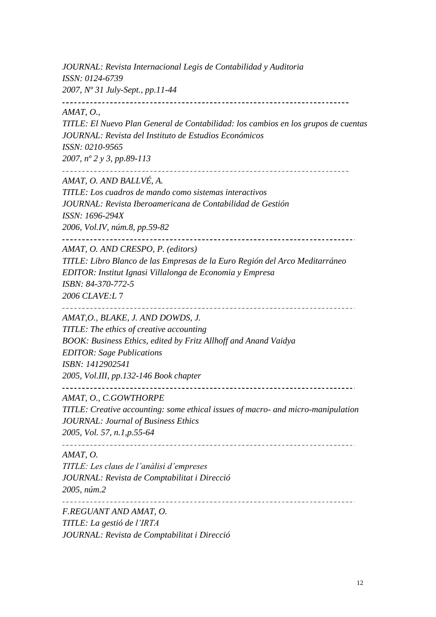*JOURNAL: Revista Internacional Legis de Contabilidad y Auditoria ISSN: 0124-6739 2007, Nº 31 July-Sept., pp.11-44*

#### *AMAT, O.,*

*TITLE: El Nuevo Plan General de Contabilidad: los cambios en los grupos de cuentas JOURNAL: Revista del Instituto de Estudios Económicos ISSN: 0210-9565*

*2007, nº 2 y 3, pp.89-113*

*AMAT, O. AND BALLVÉ, A.*

*TITLE: Los cuadros de mando como sistemas interactivos JOURNAL: Revista Iberoamericana de Contabilidad de Gestión ISSN: 1696-294X*

*2006, Vol.IV, núm.8, pp.59-82*

*AMAT, O. AND CRESPO, P. (editors)*

*TITLE: Libro Blanco de las Empresas de la Euro Región del Arco Meditarráneo EDITOR: Institut Ignasi Villalonga de Economia y Empresa ISBN: 84-370-772-5 2006 CLAVE:L* 7

*AMAT,O., BLAKE, J. AND DOWDS, J.*

*TITLE: The ethics of creative accounting BOOK: Business Ethics, edited by Fritz Allhoff and Anand Vaidya EDITOR: Sage Publications ISBN: 1412902541 2005, Vol.III, pp.132-146 Book chapter*

*AMAT, O., C.GOWTHORPE*

*TITLE: Creative accounting: some ethical issues of macro- and micro-manipulation JOURNAL: Journal of Business Ethics 2005, Vol. 57, n.1,p.55-64*

*AMAT, O.*

*TITLE: Les claus de l'anàlisi d'empreses JOURNAL: Revista de Comptabilitat i Direcció 2005, núm.2*

*F.REGUANT AND AMAT, O.*

*TITLE: La gestió de l'IRTA*

*JOURNAL: Revista de Comptabilitat i Direcció*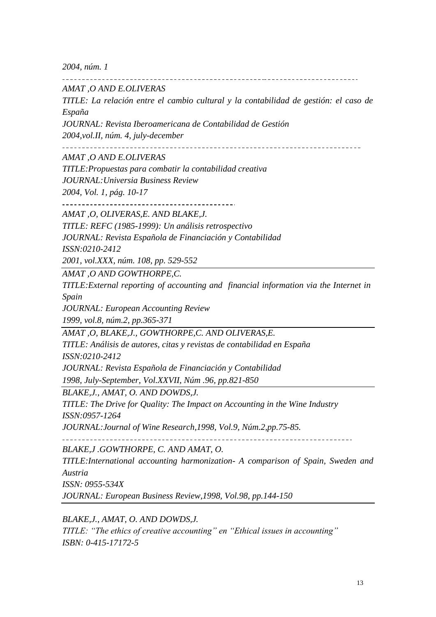*2004, núm. 1*

*AMAT ,O AND E.OLIVERAS*

*TITLE: La relación entre el cambio cultural y la contabilidad de gestión: el caso de España*

*JOURNAL: Revista Iberoamericana de Contabilidad de Gestión*

*2004,vol.II, núm. 4, july-december*

\_\_\_\_\_\_\_\_\_\_\_\_\_\_\_\_\_\_\_\_\_\_\_\_\_\_ 

*AMAT ,O AND E.OLIVERAS*

*TITLE:Propuestas para combatir la contabilidad creativa JOURNAL:Universia Business Review 2004, Vol. 1, pág. 10-17*

*AMAT ,O, OLIVERAS,E. AND BLAKE,J.*

*TITLE: REFC (1985-1999): Un análisis retrospectivo*

*JOURNAL: Revista Española de Financiación y Contabilidad*

*ISSN:0210-2412*

*2001, vol.XXX, núm. 108, pp. 529-552*

*AMAT ,O AND GOWTHORPE,C.*

*TITLE:External reporting of accounting and financial information via the Internet in Spain*

*JOURNAL: European Accounting Review*

*1999, vol.8, núm.2, pp.365-371*

*AMAT ,O, BLAKE,J., GOWTHORPE,C. AND OLIVERAS,E.*

*TITLE: Análisis de autores, citas y revistas de contabilidad en España*

*ISSN:0210-2412*

*JOURNAL: Revista Española de Financiación y Contabilidad*

*1998, July-September, Vol.XXVII, Núm .96, pp.821-850*

*BLAKE,J., AMAT, O. AND DOWDS,J.*

*TITLE: The Drive for Quality: The Impact on Accounting in the Wine Industry ISSN:0957-1264*

*JOURNAL:Journal of Wine Research,1998, Vol.9, Núm.2,pp.75-85.*

*BLAKE,J .GOWTHORPE, C. AND AMAT, O.*

*TITLE:International accounting harmonization- A comparison of Spain, Sweden and Austria*

*ISSN: 0955-534X*

*JOURNAL: European Business Review,1998, Vol.98, pp.144-150*

*BLAKE,J., AMAT, O. AND DOWDS,J.*

*TITLE: "The ethics of creative accounting" en "Ethical issues in accounting" ISBN: 0-415-17172-5*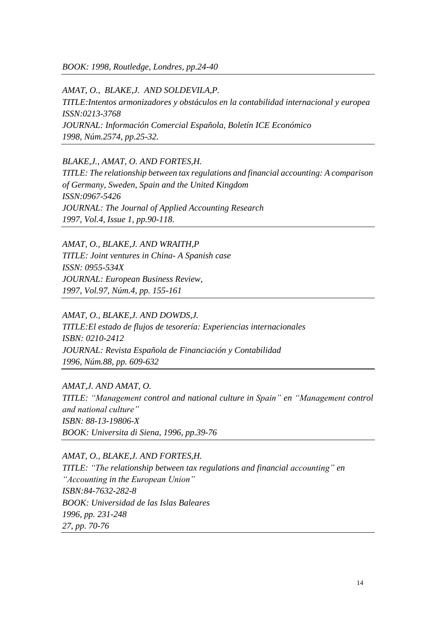*BOOK: 1998, Routledge, Londres, pp.24-40*

*AMAT, O., BLAKE,J. AND SOLDEVILA,P. TITLE:Intentos armonizadores y obstáculos en la contabilidad internacional y europea ISSN:0213-3768 JOURNAL: Información Comercial Española, Boletín ICE Económico 1998, Núm.2574, pp.25-32.*

*BLAKE,J., AMAT, O. AND FORTES,H. TITLE: The relationship between tax regulations and financial accounting: A comparison of Germany, Sweden, Spain and the United Kingdom ISSN:0967-5426 JOURNAL: The Journal of Applied Accounting Research 1997, Vol.4, Issue 1, pp.90-118.*

*AMAT, O., BLAKE,J. AND WRAITH,P TITLE: Joint ventures in China- A Spanish case ISSN: 0955-534X JOURNAL: European Business Review, 1997, Vol.97, Núm.4, pp. 155-161*

*AMAT, O., BLAKE,J. AND DOWDS,J. TITLE:El estado de flujos de tesorería: Experiencias internacionales ISBN: 0210-2412 JOURNAL: Revista Española de Financiación y Contabilidad 1996, Núm.88, pp. 609-632*

*AMAT,J. AND AMAT, O. TITLE: "Management control and national culture in Spain" en "Management control and national culture" ISBN: 88-13-19806-X BOOK: Universita di Siena, 1996, pp.39-76*

*AMAT, O., BLAKE,J. AND FORTES,H. TITLE: "The relationship between tax regulations and financial accounting" en "Accounting in the European Union" ISBN:84-7632-282-8 BOOK: Universidad de las Islas Baleares 1996, pp. 231-248 27, pp. 70-76*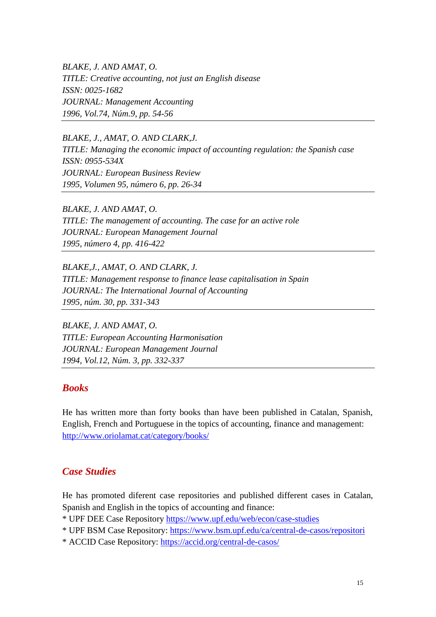*BLAKE, J. AND AMAT, O. TITLE: Creative accounting, not just an English disease ISSN: 0025-1682 JOURNAL: Management Accounting 1996, Vol.74, Núm.9, pp. 54-56*

*BLAKE, J., AMAT, O. AND CLARK,J. TITLE: Managing the economic impact of accounting regulation: the Spanish case ISSN: 0955-534X JOURNAL: European Business Review 1995, Volumen 95, número 6, pp. 26-34*

*BLAKE, J. AND AMAT, O. TITLE: The management of accounting. The case for an active role JOURNAL: European Management Journal 1995, número 4, pp. 416-422*

*BLAKE,J., AMAT, O. AND CLARK, J. TITLE: Management response to finance lease capitalisation in Spain JOURNAL: The International Journal of Accounting 1995, núm. 30, pp. 331-343*

*BLAKE, J. AND AMAT, O. TITLE: European Accounting Harmonisation JOURNAL: European Management Journal 1994, Vol.12, Núm. 3, pp. 332-337*

#### *Books*

He has written more than forty books than have been published in Catalan, Spanish, English, French and Portuguese in the topics of accounting, finance and management: <http://www.oriolamat.cat/category/books/>

#### *Case Studies*

He has promoted diferent case repositories and published different cases in Catalan, Spanish and English in the topics of accounting and finance:

\* UPF DEE Case Repository <https://www.upf.edu/web/econ/case-studies>

\* UPF BSM Case Repository: <https://www.bsm.upf.edu/ca/central-de-casos/repositori>

\* ACCID Case Repository: <https://accid.org/central-de-casos/>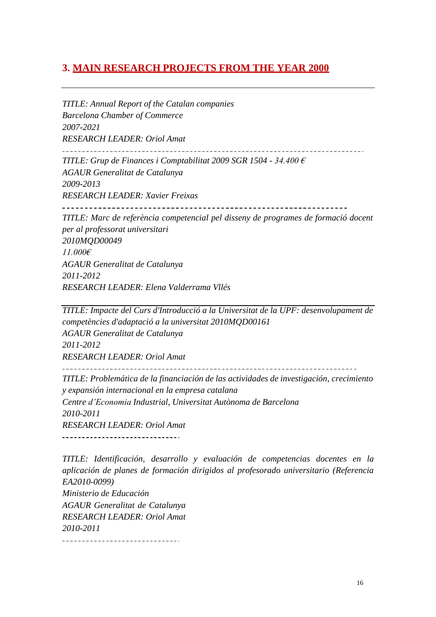## **3. MAIN RESEARCH PROJECTS FROM THE YEAR 2000**

*TITLE: Annual Report of the Catalan companies Barcelona Chamber of Commerce 2007-2021 RESEARCH LEADER: Oriol Amat TITLE: Grup de Finances i Comptabilitat 2009 SGR 1504 - 34.400 € AGAUR Generalitat de Catalunya 2009-2013 RESEARCH LEADER: Xavier Freixas TITLE: Marc de referència competencial pel disseny de programes de formació docent per al professorat universitari 2010MQD00049 11.000€ AGAUR Generalitat de Catalunya 2011-2012 RESEARCH LEADER: Elena Valderrama Vllés*

*TITLE: Impacte del Curs d'Introducció a la Universitat de la UPF: desenvolupament de competències d'adaptació a la universitat 2010MQD00161 AGAUR Generalitat de Catalunya 2011-2012 RESEARCH LEADER: Oriol Amat* 

*TITLE: Problemática de la financiación de las actividades de investigación, crecimiento y expansión internacional en la empresa catalana Centre d'Economia Industrial, Universitat Autònoma de Barcelona 2010-2011 RESEARCH LEADER: Oriol Amat* \_\_\_\_\_\_\_\_\_\_\_\_\_\_\_\_\_\_\_\_\_\_\_\_\_\_\_\_\_\_\_\_

*TITLE: Identificación, desarrollo y evaluación de competencias docentes en la aplicación de planes de formación dirigidos al profesorado universitario (Referencia EA2010-0099) Ministerio de Educación AGAUR Generalitat de Catalunya RESEARCH LEADER: Oriol Amat 2010-2011*\_\_\_\_\_\_\_\_\_\_\_\_\_\_\_\_\_\_\_\_\_\_\_\_\_\_\_\_\_\_\_\_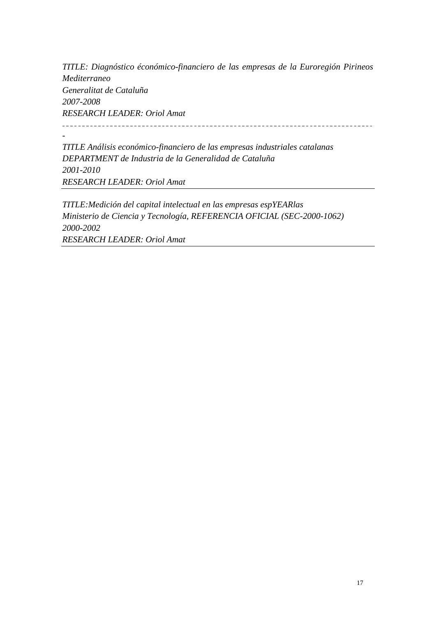*TITLE: Diagnóstico éconómico-financiero de las empresas de la Euroregión Pirineos Mediterraneo Generalitat de Cataluña 2007-2008 RESEARCH LEADER: Oriol Amat* 

*TITLE Análisis económico-financiero de las empresas industriales catalanas DEPARTMENT de Industria de la Generalidad de Cataluña 2001-2010 RESEARCH LEADER: Oriol Amat*

*-*

*TITLE:Medición del capital intelectual en las empresas espYEARlas Ministerio de Ciencia y Tecnología, REFERENCIA OFICIAL (SEC-2000-1062) 2000-2002 RESEARCH LEADER: Oriol Amat*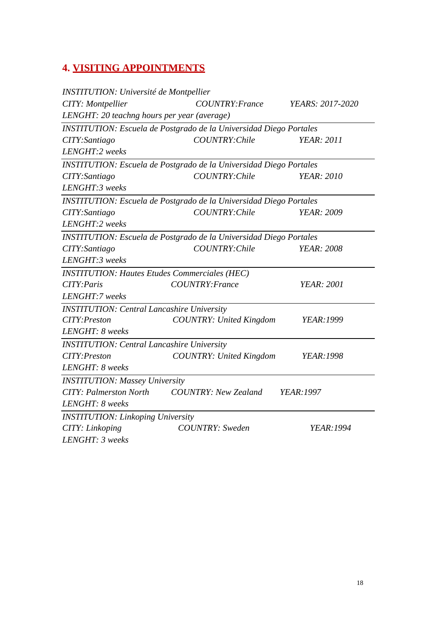## **4. VISITING APPOINTMENTS**

| <b>INSTITUTION: Université de Montpellier</b>        |                                                                           |                         |
|------------------------------------------------------|---------------------------------------------------------------------------|-------------------------|
| CITY: Montpellier                                    | COUNTRY: France                                                           | <i>YEARS: 2017-2020</i> |
| LENGHT: 20 teachng hours per year (average)          |                                                                           |                         |
|                                                      | <b>INSTITUTION:</b> Escuela de Postgrado de la Universidad Diego Portales |                         |
| CITY: Santiago                                       | COUNTRY: Chile                                                            | <b>YEAR</b> : 2011      |
| LENGHT:2 weeks                                       |                                                                           |                         |
|                                                      | <b>INSTITUTION: Escuela de Postgrado de la Universidad Diego Portales</b> |                         |
| CITY: Santiago                                       | COUNTRY: Chile                                                            | <b>YEAR</b> : 2010      |
| LENGHT:3 weeks                                       |                                                                           |                         |
|                                                      | <b>INSTITUTION: Escuela de Postgrado de la Universidad Diego Portales</b> |                         |
| CITY: Santiago                                       | COUNTRY: Chile                                                            | <b>YEAR</b> : 2009      |
| LENGHT:2 weeks                                       |                                                                           |                         |
|                                                      | <b>INSTITUTION: Escuela de Postgrado de la Universidad Diego Portales</b> |                         |
| CITY: Santiago                                       | COUNTRY: Chile                                                            | <b>YEAR</b> : 2008      |
| LENGHT:3 weeks                                       |                                                                           |                         |
| <b>INSTITUTION: Hautes Etudes Commerciales (HEC)</b> |                                                                           |                         |
| CITY: Paris                                          | COUNTRY: France                                                           | <b>YEAR: 2001</b>       |
| LENGHT:7 weeks                                       |                                                                           |                         |
| <b>INSTITUTION: Central Lancashire University</b>    |                                                                           |                         |
| CITY: Preston                                        | <b>COUNTRY: United Kingdom</b>                                            | <b>YEAR:1999</b>        |
| LENGHT: 8 weeks                                      |                                                                           |                         |
| <b>INSTITUTION: Central Lancashire University</b>    |                                                                           |                         |
| CITY: Preston                                        | <b>COUNTRY: United Kingdom</b>                                            | <b>YEAR:1998</b>        |
| LENGHT: 8 weeks                                      |                                                                           |                         |
| <b>INSTITUTION: Massey University</b>                |                                                                           |                         |
| <b>CITY: Palmerston North</b>                        | <b>COUNTRY: New Zealand</b>                                               | YEAR:1997               |
| LENGHT: 8 weeks                                      |                                                                           |                         |
| <b>INSTITUTION: Linkoping University</b>             |                                                                           |                         |
| CITY: Linkoping                                      | <b>COUNTRY:</b> Sweden                                                    | YEAR:1994               |
| LENGHT: 3 weeks                                      |                                                                           |                         |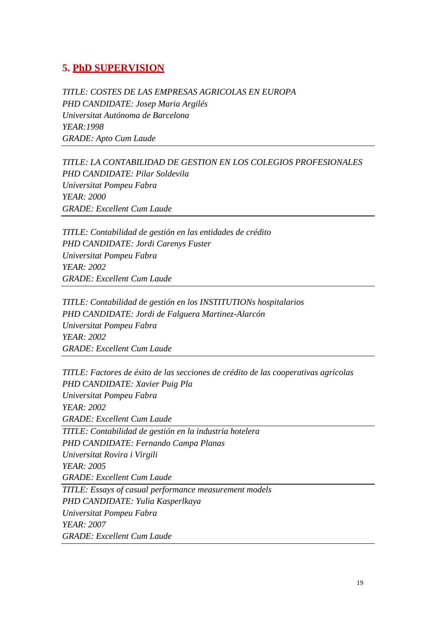### **5. PhD SUPERVISION**

*TITLE: COSTES DE LAS EMPRESAS AGRICOLAS EN EUROPA PHD CANDIDATE: Josep Maria Argilés Universitat Autónoma de Barcelona YEAR:1998 GRADE: Apto Cum Laude*

*TITLE: LA CONTABILIDAD DE GESTION EN LOS COLEGIOS PROFESIONALES PHD CANDIDATE: Pilar Soldevila Universitat Pompeu Fabra YEAR: 2000 GRADE: Excellent Cum Laude*

*TITLE: Contabilidad de gestión en las entidades de crédito PHD CANDIDATE: Jordi Carenys Fuster Universitat Pompeu Fabra YEAR: 2002 GRADE: Excellent Cum Laude*

*TITLE: Contabilidad de gestión en los INSTITUTIONs hospitalarios PHD CANDIDATE: Jordi de Falguera Martinez-Alarcón Universitat Pompeu Fabra YEAR: 2002 GRADE: Excellent Cum Laude*

*TITLE: Factores de éxito de las secciones de crédito de las cooperativas agrícolas PHD CANDIDATE: Xavier Puig Pla Universitat Pompeu Fabra YEAR: 2002 GRADE: Excellent Cum Laude TITLE: Contabilidad de gestión en la industria hotelera PHD CANDIDATE: Fernando Campa Planas Universitat Rovira i Virgili YEAR: 2005 GRADE: Excellent Cum Laude TITLE: Essays of casual performance measurement models PHD CANDIDATE: Yulia Kasperlkaya Universitat Pompeu Fabra YEAR: 2007 GRADE: Excellent Cum Laude*